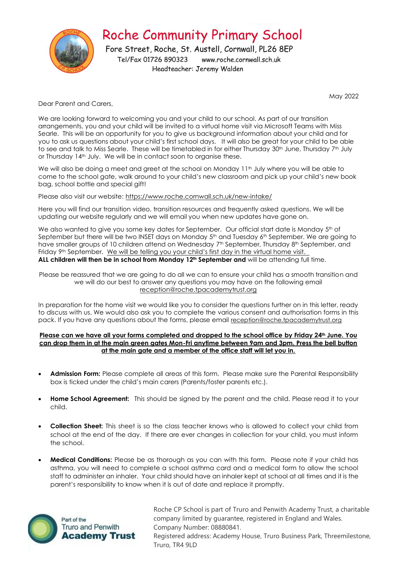

May 2022

Dear Parent and Carers,

We are looking forward to welcoming you and your child to our school. As part of our transition arrangements, you and your child will be invited to a virtual home visit via Microsoft Teams with Miss Searle. This will be an opportunity for you to give us background information about your child and for you to ask us questions about your child's first school days. It will also be great for your child to be able to see and talk to Miss Searle. These will be timetabled in for either Thursday 30<sup>th</sup> June, Thursday 7<sup>th</sup> July or Thursday 14<sup>th</sup> July. We will be in contact soon to organise these.

We will also be doing a meet and greet at the school on Monday 11<sup>th</sup> July where you will be able to come to the school gate, walk around to your child's new classroom and pick up your child's new book bag, school bottle and special gift!

Please also visit our website: <https://www.roche.cornwall.sch.uk/new-intake/>

Here you will find our transition video, transition resources and frequently asked questions. We will be updating our website regularly and we will email you when new updates have gone on.

We also wanted to give you some key dates for September. Our official start date is Monday 5th of September but there will be two INSET days on Monday 5<sup>th</sup> and Tuesday 6<sup>th</sup> September. We are going to have smaller groups of 10 children attend on Wednesday 7<sup>th</sup> September, Thursday 8<sup>th</sup> September, and Friday 9<sup>th</sup> September. We will be telling you your child's first day in the virtual home visit. **ALL children will then be in school from Monday 12th September and** will be attending full time.

Please be reassured that we are going to do all we can to ensure your child has a smooth transition and we will do our best to answer any questions you may have on the following email reception@roche.tpacademytrust.org

In preparation for the home visit we would like you to consider the questions further on in this letter, ready to discuss with us. We would also ask you to complete the various consent and authorisation forms in this pack. If you have any questions about the forms, please email reception@roche.tpacademytrust.org

**Please can we have all your forms completed and dropped to the school office by Friday 24th June. You can drop them in at the main green gates Mon-Fri anytime between 9am and 3pm. Press the bell button at the main gate and a member of the office staff will let you in.**

- **Admission Form:** Please complete all areas of this form. Please make sure the Parental Responsibility box is ticked under the child's main carers (Parents/foster parents etc.).
- **Home School Agreement:** This should be signed by the parent and the child. Please read it to your child.
- **Collection Sheet:** This sheet is so the class teacher knows who is allowed to collect your child from school at the end of the day. If there are ever changes in collection for your child, you must inform the school.
- **Medical Conditions:** Please be as thorough as you can with this form. Please note if your child has asthma, you will need to complete a school asthma card and a medical form to allow the school staff to administer an inhaler. Your child should have an inhaler kept at school at all times and it is the parent's responsibility to know when it is out of date and replace it promptly.



Roche CP School is part of Truro and Penwith Academy Trust, a charitable company limited by guarantee, registered in England and Wales. Company Number: 08880841.

Registered address: Academy House, Truro Business Park, Threemilestone, Truro, TR4 9LD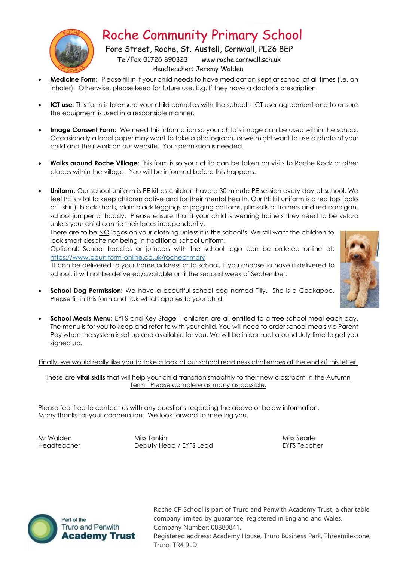

**Roche Community Primary School** 

Fore Street, Roche, St. Austell, Cornwall, PL26 8EP Tel/Fax 01726 890323 www.roche.cornwall.sch.uk Headteacher: Jeremy Walden

- **Medicine Form:** Please fill in if your child needs to have medication kept at school at all times (i.e. an inhaler). Otherwise, please keep for future use. E.g. If they have a doctor's prescription.
- **ICT use:** This form is to ensure your child complies with the school's ICT user agreement and to ensure the equipment is used in a responsible manner.
- **Image Consent Form:** We need this information so your child's image can be used within the school. Occasionally a local paper may want to take a photograph, or we might want to use a photo of your child and their work on our website. Your permission is needed.
- **Walks around Roche Village:** This form is so your child can be taken on visits to Roche Rock or other places within the village. You will be informed before this happens.
- **Uniform:** Our school uniform is PE kit as children have a 30 minute PE session every day at school. We feel PE is vital to keep children active and for their mental health. Our PE kit uniform is a red top (polo or t-shirt), black shorts, plain black leggings or jogging bottoms, plimsolls or trainers and red cardigan, school jumper or hoody. Please ensure that if your child is wearing trainers they need to be velcro unless your child can tie their laces independently.

There are to be NO logos on your clothing unless it is the school's. We still want the children to look smart despite not being in traditional school uniform.

Optional: School hoodies or jumpers with the school logo can be ordered online at: <https://www.pbuniform-online.co.uk/rocheprimary>

It can be delivered to your home address or to school. If you choose to have it delivered to school, it will not be delivered/available until the second week of September.

- 
- **School Dog Permission:** We have a beautiful school dog named Tilly. She is a Cockapoo. Please fill in this form and tick which applies to your child.
- **School Meals Menu:** EYFS and Key Stage 1 children are all entitled to a free school meal each day. The menu is for you to keep and refer to with your child. You will need to order school meals via Parent Pay when the system is set up and available for you. We will be in contact around July time to get you signed up.

#### Finally, we would really like you to take a look at our school readiness challenges at the end of this letter.

These are **vital skills** that will help your child transition smoothly to their new classroom in the Autumn Term. Please complete as many as possible.

Please feel free to contact us with any questions regarding the above or below information. Many thanks for your cooperation. We look forward to meeting you.

Mr Walden Miss Tonkin Miss Searle Headteacher **Deputy Head / EYFS Lead EYFS Teacher** 



Roche CP School is part of Truro and Penwith Academy Trust, a charitable company limited by guarantee, registered in England and Wales. Company Number: 08880841. Registered address: Academy House, Truro Business Park, Threemilestone, Truro, TR4 9LD

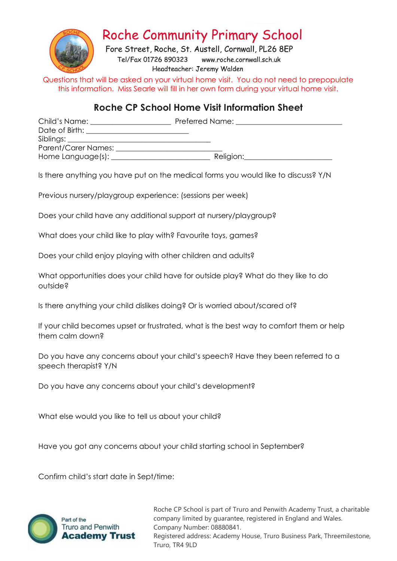

## **Roche Community Primary School**

Fore Street, Roche, St. Austell, Cornwall, PL26 8EP Tel/Fax 01726 890323 www.roche.cornwall.sch.uk Headteacher: Jeremy Walden

Questions that will be asked on your virtual home visit. You do not need to prepopulate this information. Miss Searle will fill in her own form during your virtual home visit.

### **Roche CP School Home Visit Information Sheet**

| Child's Name:                         | Preferred Name: |  |
|---------------------------------------|-----------------|--|
| Date of Birth: The Contract of Birth: |                 |  |
| Siblings: ____                        |                 |  |
| Parent/Carer Names:                   |                 |  |
| Home Language(s):                     | Religion:       |  |

Is there anything you have put on the medical forms you would like to discuss? Y/N

Previous nursery/playgroup experience: (sessions per week)

Does your child have any additional support at nursery/playgroup?

What does your child like to play with? Favourite toys, games?

Does your child enjoy playing with other children and adults?

What opportunities does your child have for outside play? What do they like to do outside?

Is there anything your child dislikes doing? Or is worried about/scared of?

If your child becomes upset or frustrated, what is the best way to comfort them or help them calm down?

Do you have any concerns about your child's speech? Have they been referred to a speech therapist? Y/N

Do you have any concerns about your child's development?

What else would you like to tell us about your child?

Have you got any concerns about your child starting school in September?

Confirm child's start date in Sept/time:



Roche CP School is part of Truro and Penwith Academy Trust, a charitable company limited by guarantee, registered in England and Wales. Company Number: 08880841. Registered address: Academy House, Truro Business Park, Threemilestone, Truro, TR4 9LD